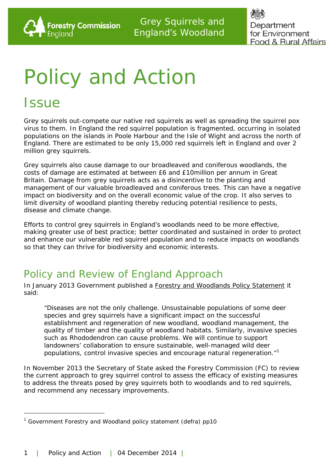

Department for Environment **Food & Rural Affairs** 

# Policy and Action

### **Issue**

1

Grey squirrels out-compete our native red squirrels as well as spreading the squirrel pox virus to them. In England the red squirrel population is fragmented, occurring in isolated populations on the islands in Poole Harbour and the Isle of Wight and across the north of England. There are estimated to be only 15,000 red squirrels left in England and over 2 million grey squirrels.

Grey squirrels also cause damage to our broadleaved and coniferous woodlands, the costs of damage are estimated at between £6 and £10million per annum in Great Britain. Damage from grey squirrels acts as a disincentive to the planting and management of our valuable broadleaved and coniferous trees. This can have a negative impact on biodiversity and on the overall economic value of the crop. It also serves to limit diversity of woodland planting thereby reducing potential resilience to pests, disease and climate change.

Efforts to control grey squirrels in England's woodlands need to be more effective, making greater use of best practice; better coordinated and sustained in order to protect and enhance our vulnerable red squirrel population and to reduce impacts on woodlands so that they can thrive for biodiversity and economic interests.

### Policy and Review of England Approach

In January 2013 Government published a **Forestry and Woodlands Policy Statement** it said:

*"Diseases are not the only challenge. Unsustainable populations of some deer species and grey squirrels have a significant impact on the successful establishment and regeneration of new woodland, woodland management, the quality of timber and the quality of woodland habitats. Similarly, invasive species such as Rhododendron can cause problems. We will continue to support landowners' collaboration to ensure sustainable, well-managed wild deer populations, control invasive species and encourage natural regeneration."[1](#page-0-0)*

In November 2013 the Secretary of State asked the Forestry Commission (FC) to review the current approach to grey squirrel control to assess the efficacy of existing measures to address the threats posed by grey squirrels both to woodlands and to red squirrels, and recommend any necessary improvements.

<span id="page-0-0"></span> $1$  Government Forestry and Woodland policy statement (defra) pp10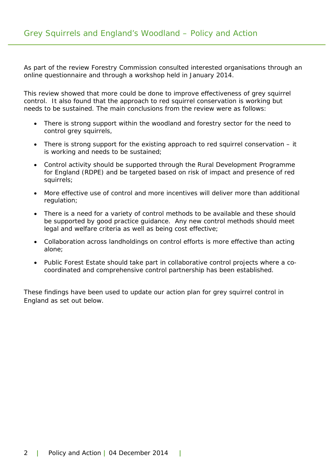As part of the review Forestry Commission consulted interested organisations through an online questionnaire and through a workshop held in January 2014.

This review showed that more could be done to improve effectiveness of grey squirrel control. It also found that the approach to red squirrel conservation is working but needs to be sustained. The main conclusions from the review were as follows:

- There is strong support within the woodland and forestry sector for the need to control grey squirrels,
- There is strong support for the existing approach to red squirrel conservation it is working and needs to be sustained;
- Control activity should be supported through the Rural Development Programme for England (RDPE) and be targeted based on risk of impact and presence of red squirrels;
- More effective use of control and more incentives will deliver more than additional regulation;
- There is a need for a variety of control methods to be available and these should be supported by good practice guidance. Any new control methods should meet legal and welfare criteria as well as being cost effective;
- Collaboration across landholdings on control efforts is more effective than acting alone;
- Public Forest Estate should take part in collaborative control projects where a cocoordinated and comprehensive control partnership has been established.

These findings have been used to update our action plan for grey squirrel control in England as set out below.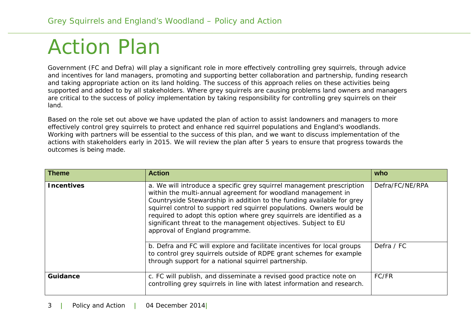## Action Plan

Government (FC and Defra) will play a significant role in more effectively controlling grey squirrels, through advice and incentives for land managers, promoting and supporting better collaboration and partnership, funding research and taking appropriate action on its land holding. The success of this approach relies on these activities being supported and added to by all stakeholders. Where grey squirrels are causing problems land owners and managers are critical to the success of policy implementation by taking responsibility for controlling grey squirrels on their land.

Based on the role set out above we have updated the plan of action to assist landowners and managers to more effectively control grey squirrels to protect and enhance red squirrel populations and England's woodlands. Working with partners will be essential to the success of this plan, and we want to discuss implementation of the actions with stakeholders early in 2015. We will review the plan after 5 years to ensure that progress towards the outcomes is being made.

| <b>Theme</b>      | <b>Action</b>                                                                                                                                                                                                                                                                                                                                                                                                                                                         | who             |
|-------------------|-----------------------------------------------------------------------------------------------------------------------------------------------------------------------------------------------------------------------------------------------------------------------------------------------------------------------------------------------------------------------------------------------------------------------------------------------------------------------|-----------------|
| <b>Incentives</b> | a. We will introduce a specific grey squirrel management prescription<br>within the multi-annual agreement for woodland management in<br>Countryside Stewardship in addition to the funding available for grey<br>squirrel control to support red squirrel populations. Owners would be<br>required to adopt this option where grey squirrels are identified as a<br>significant threat to the management objectives. Subject to EU<br>approval of England programme. | Defra/FC/NE/RPA |
|                   | b. Defra and FC will explore and facilitate incentives for local groups<br>to control grey squirrels outside of RDPE grant schemes for example<br>through support for a national squirrel partnership.                                                                                                                                                                                                                                                                | Defra / FC      |
| <b>Guidance</b>   | c. FC will publish, and disseminate a revised good practice note on<br>controlling grey squirrels in line with latest information and research.                                                                                                                                                                                                                                                                                                                       | FC/FR           |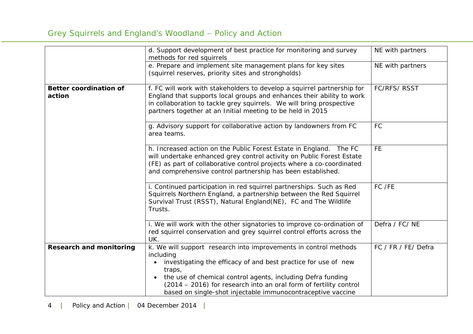### Grey Squirrels and England's Woodland – Policy and Action

|                                         | d. Support development of best practice for monitoring and survey<br>methods for red squirrels                                                                                                                                                                                         | NE with partners    |
|-----------------------------------------|----------------------------------------------------------------------------------------------------------------------------------------------------------------------------------------------------------------------------------------------------------------------------------------|---------------------|
|                                         | e. Prepare and implement site management plans for key sites<br>(squirrel reserves, priority sites and strongholds)                                                                                                                                                                    | NE with partners    |
| <b>Better coordination of</b><br>action | f. FC will work with stakeholders to develop a squirrel partnership for<br>England that supports local groups and enhances their ability to work<br>in collaboration to tackle grey squirrels. We will bring prospective<br>partners together at an Initial meeting to be held in 2015 | <b>FC/RFS/ RSST</b> |
|                                         | g. Advisory support for collaborative action by landowners from FC<br>area teams.                                                                                                                                                                                                      | <b>FC</b>           |
|                                         | h. Increased action on the Public Forest Estate in England.<br>The FC<br>will undertake enhanced grey control activity on Public Forest Estate<br>(FE) as part of collaborative control projects where a co-coordinated<br>and comprehensive control partnership has been established. | <b>FE</b>           |
|                                         | i. Continued participation in red squirrel partnerships. Such as Red<br>Squirrels Northern England, a partnership between the Red Squirrel<br>Survival Trust (RSST), Natural England(NE), FC and The Wildlife<br>Trusts.                                                               | FC /FE              |
|                                         | i. We will work with the other signatories to improve co-ordination of<br>red squirrel conservation and grey squirrel control efforts across the<br>UK.                                                                                                                                | Defra / FC/NE       |
| <b>Research and monitoring</b>          | k. We will support research into improvements in control methods<br>including<br>investigating the efficacy of and best practice for use of new<br>traps,                                                                                                                              | FC / FR / FE/ Defra |
|                                         | the use of chemical control agents, including Defra funding<br>(2014 – 2016) for research into an oral form of fertility control<br>based on single-shot injectable immunocontraceptive vaccine                                                                                        |                     |